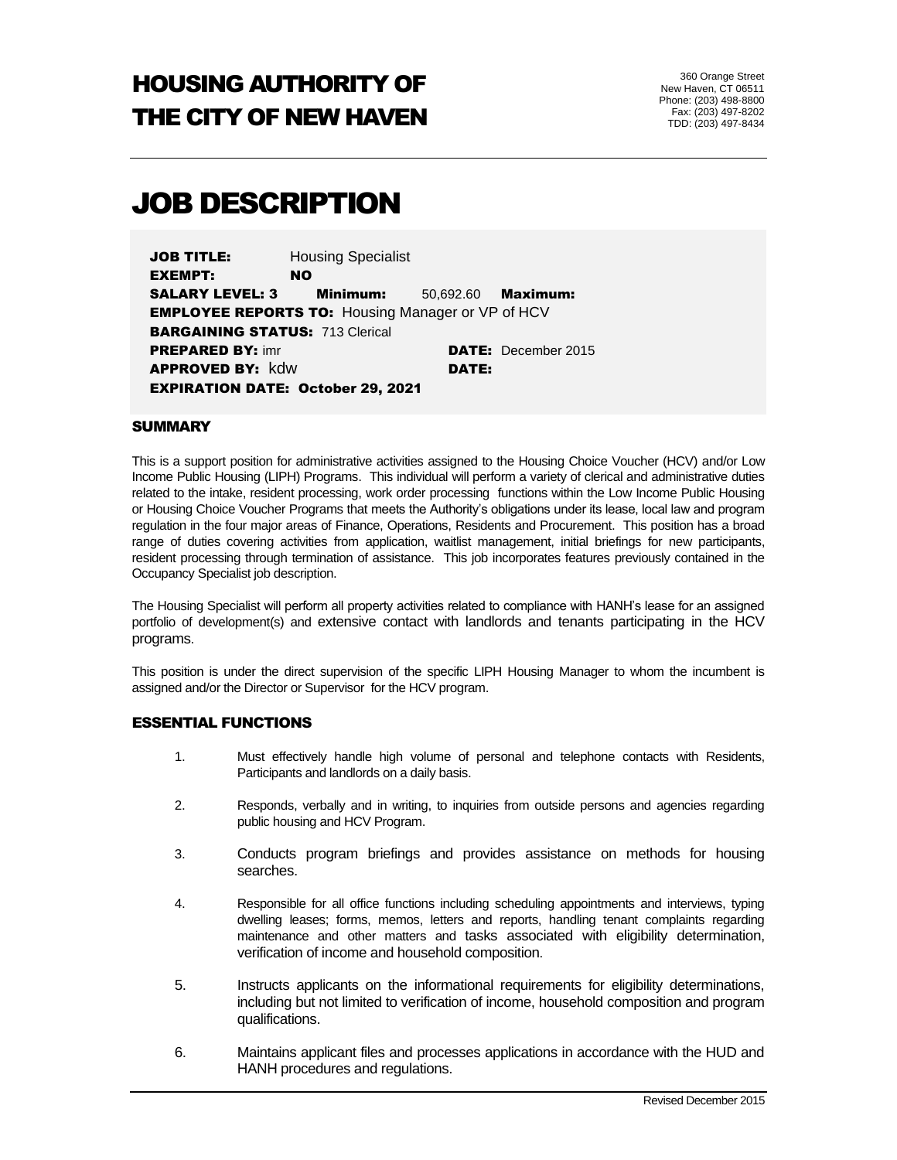# HOUSING AUTHORITY OF THE CITY OF NEW HAVEN

# JOB DESCRIPTION

JOB TITLE: Housing Specialist EXEMPT: NO SALARY LEVEL: 3 Minimum: 50,692.60 Maximum: **EMPLOYEE REPORTS TO: Housing Manager or VP of HCV BARGAINING STATUS: 713 Clerical PREPARED BY:** imr **DATE:** December 2015 APPROVED BY: kdw DATE: EXPIRATION DATE: October 29, 2021

#### **SUMMARY**

This is a support position for administrative activities assigned to the Housing Choice Voucher (HCV) and/or Low Income Public Housing (LIPH) Programs. This individual will perform a variety of clerical and administrative duties related to the intake, resident processing, work order processing functions within the Low Income Public Housing or Housing Choice Voucher Programs that meets the Authority's obligations under its lease, local law and program regulation in the four major areas of Finance, Operations, Residents and Procurement. This position has a broad range of duties covering activities from application, waitlist management, initial briefings for new participants, resident processing through termination of assistance. This job incorporates features previously contained in the Occupancy Specialist job description.

The Housing Specialist will perform all property activities related to compliance with HANH's lease for an assigned portfolio of development(s) and extensive contact with landlords and tenants participating in the HCV programs.

This position is under the direct supervision of the specific LIPH Housing Manager to whom the incumbent is assigned and/or the Director or Supervisor for the HCV program.

### ESSENTIAL FUNCTIONS

- 1. Must effectively handle high volume of personal and telephone contacts with Residents, Participants and landlords on a daily basis.
- 2. Responds, verbally and in writing, to inquiries from outside persons and agencies regarding public housing and HCV Program.
- 3. Conducts program briefings and provides assistance on methods for housing searches.
- 4. Responsible for all office functions including scheduling appointments and interviews, typing dwelling leases; forms, memos, letters and reports, handling tenant complaints regarding maintenance and other matters and tasks associated with eligibility determination, verification of income and household composition.
- 5. Instructs applicants on the informational requirements for eligibility determinations, including but not limited to verification of income, household composition and program qualifications.
- 6. Maintains applicant files and processes applications in accordance with the HUD and HANH procedures and regulations.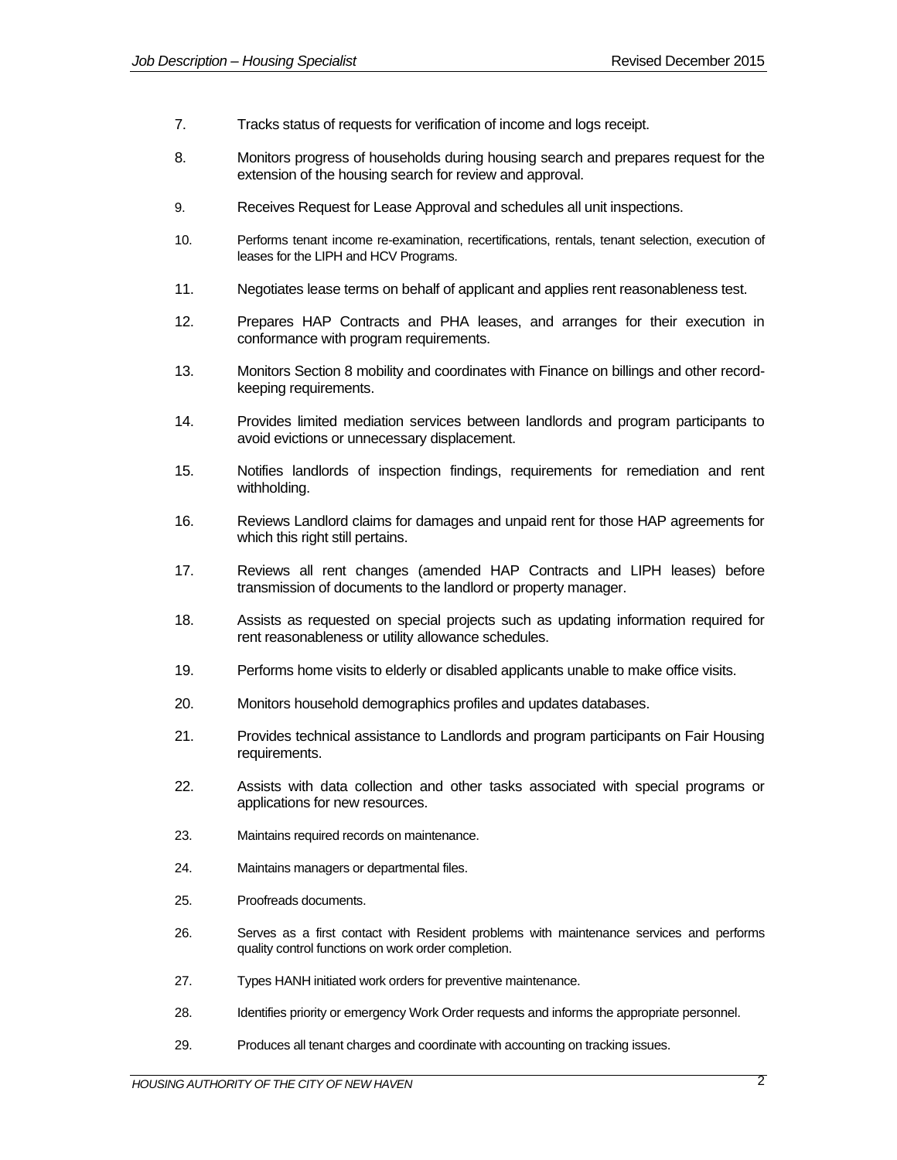- 7. Tracks status of requests for verification of income and logs receipt.
- 8. Monitors progress of households during housing search and prepares request for the extension of the housing search for review and approval.
- 9. Receives Request for Lease Approval and schedules all unit inspections.
- 10. Performs tenant income re-examination, recertifications, rentals, tenant selection, execution of leases for the LIPH and HCV Programs.
- 11. Negotiates lease terms on behalf of applicant and applies rent reasonableness test.
- 12. Prepares HAP Contracts and PHA leases, and arranges for their execution in conformance with program requirements.
- 13. Monitors Section 8 mobility and coordinates with Finance on billings and other recordkeeping requirements.
- 14. Provides limited mediation services between landlords and program participants to avoid evictions or unnecessary displacement.
- 15. Notifies landlords of inspection findings, requirements for remediation and rent withholding.
- 16. Reviews Landlord claims for damages and unpaid rent for those HAP agreements for which this right still pertains.
- 17. Reviews all rent changes (amended HAP Contracts and LIPH leases) before transmission of documents to the landlord or property manager.
- 18. Assists as requested on special projects such as updating information required for rent reasonableness or utility allowance schedules.
- 19. Performs home visits to elderly or disabled applicants unable to make office visits.
- 20. Monitors household demographics profiles and updates databases.
- 21. Provides technical assistance to Landlords and program participants on Fair Housing requirements.
- 22. Assists with data collection and other tasks associated with special programs or applications for new resources.
- 23. Maintains required records on maintenance.
- 24. Maintains managers or departmental files.
- 25. Proofreads documents.
- 26. Serves as a first contact with Resident problems with maintenance services and performs quality control functions on work order completion.
- 27. Types HANH initiated work orders for preventive maintenance.
- 28. Identifies priority or emergency Work Order requests and informs the appropriate personnel.
- 29. Produces all tenant charges and coordinate with accounting on tracking issues.